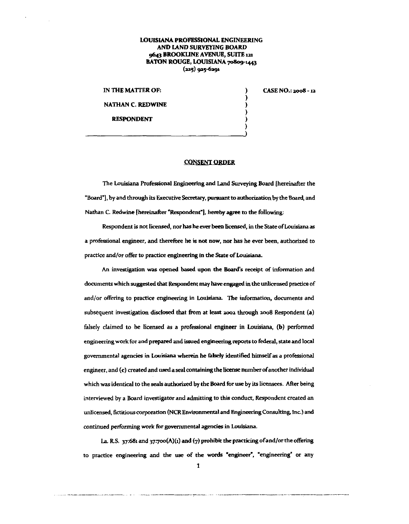## LOUISIANA PROFESSIONAL ENGINEERING AND LAND SURVEYING BOARD 9643 BROOKLINE AVENUE, SUITE 121 BATON ROUGE, LOUISIANA 70809-1443  $(225)$  925-6291

IN THE MATTER OF: NATHAN C. REDWINE RESPONDENT

CASE NO.: 2008 - 12

) ) ) ) ) )

## CONSENT ORDER

The Louisiana Professional Engineering and Land Surveying Board [hereinafter the "Board"], by and through its Executive Secretary, pursuant to authorization by the Board, and Nathan C. Redwine [hereinafter "Respondent"], hereby agree to the following:

Respondent is not licensed, nor has be ever been licensed, in rhe State of Louisiana as **a professional engineer, and therefore he is not now, nor has he ever been, authorized to practice and/or offer to practice engineering in the State of Louisiana.** 

**An investigation was opened based upon the Board's receipt of information and**  documents which suggested that Respondent may have engaged in the unlicensed practice of **and/or offering to practice engineering in Louisiana. The information, documents and**  subsequent investigation disclosed that from at least 2002 through 2008 Respondent (a) falsely claimed to be licensed as a professional engineer in Louisiana, (b) performed engineering work for and prepared and issued engineering reports to federal, state and local governmental agencies in Louisiana wherein be falsely identified himself as a professional engineer, and (c) created and used a seal containing the license number of another individual which was identical to the seals aurhorized by rhe Board for use by its licensees. After being **interviewed by a Board investigator and admitting to this conduct, Respondent created an**  unlicensed, fictitious corporation (NCR Environmental and Engineering Consulting, Inc.) and **continued performing work for governmental agencies in** Louisiana.

La. R.S. 37:681 and 37:700(A)(1) and (7) prohibit the practicing of and/or the offering to practice engineering and the use of the words "engineer", "engineering" or any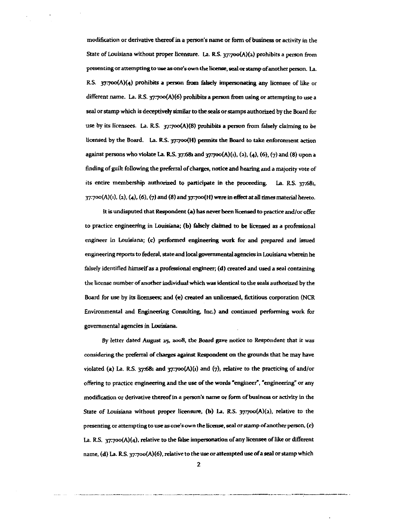**modification or derivative thereof in a person's name or fonn of business or activity in the**  State of Louisiana without proper licensure. La. R.S. 37:700(A)(2) prohibits a person from **presenting or attempting to use as one's own the license, seal or stamp of another person. La.**  R.S.  $37:700(A)(4)$  prohibits a person from falsely impersonating any licensee of like or different name. La. R.S.  $37:700(A)(6)$  prohibits a person from using or attempting to use a seal or stamp which is deceptively similar to the seals or stamps authorized by the Board for use by its licensees. La. R.S.  $\frac{37}{700}(A)(8)$  prohibits a person from falsely claiming to be licensed by the Board. La. R.S. 37:700(H) permits the Board to take enforcement action against persons who violate La. R.S.  $37.68$  and  $37.700(A)(1)$ , (2), (4), (6), (7) and (8) upon a finding of guilt following the preferral of charges, notice and hearing and a majority vote of its entire membership authori2ed to participate in the proceeding. La. R.S. 37:681,  $37:700(A)(1)$ ,  $(2)$ ,  $(4)$ ,  $(6)$ ,  $(7)$  and  $(8)$  and  $37:700(H)$  were in effect at all times material hereto.

It is undisputed that Respondent (a) has never been licensed to practice and/or offer to practice engineering in Louisiana; (b) falsely claimed to be licensed as a professional engineer in Louisiana; (c) performed engineering work for and prepared and issued engineering reports to federal, state and local governmental agencies in Louisiana wherein he falsely identified himself as a professional engineer; (d) created and used a seal containing the license number of another individual which was identical to the seals authorized by the Board for use by its licensees; and (e) created an unlicensed, fictitious corporation (NCR Environmental and Engineering Consulting, Inc.) and continued performing work for **governmental agencies in Louisiana.** 

*By* **letter dated August zs, 2.008, the Board gave notice to Respondent that it was**  considering the preferral of charges against Respondent on the grounds that he may have violated (a) La. R.S. 37:681 and 37:700 $(A)(i)$  and  $(7)$ , relative to the practicing of and/or offering to practice engineering and the use of the words "engineer", "engineering" or any **modification or derivative thereof in a person's name or form of business or activity in the**  State of Louisiana without proper licensure, (b) La. R.S.  $37:700(A)(2)$ , relative to the **presenting or attempting to use as one's own the license, seal or stamp of another person, (c)**  La. R.S.  $37:700(A)(4)$ , relative to the false impersonation of any licensee of like or different name, (d) La. R.S. 37:700(A)(6), relative to the use or attempted use of a seal or stamp which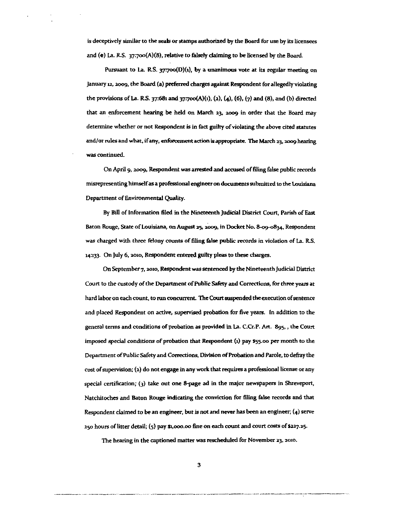is deceptively similar to the seals or stamps authorized by the Board for use by its licensees and (e) La. R.S.  $37:700(A)(8)$ , relative to falsely claiming to be licensed by the Board.

Pursuant to La. R.S.  $37700(D)(1)$ , by a unanimous vote at its regular meeting on january 12, 2009, the Board (a) preferred charges against Respondent for allegedly violating the provisions of La. R.S. 37:681 and 37:700(A)(1), (2), (4), (6), (7) and (8), and (b) directed that an enforcement hearing be held on March 23. 2009 in order that the Board may determine whether or not Respondent is in fact guilty of violating the above cited statutes and/or rules and what, if any, enfuroement action is appropriate. The March 23. 2009 bearing **was continued.** 

On April 9, 2009, Respondent was arrested and accused of filing false public records misrepresenting himself as a professional engineer on documents submitted to the Louisiana Department of Environmental Quality.

By Bill of Information filed in the Nineteenth Judicial District Court, Parish of East Baton Rouge, State of Louisiana, on August 25, 2009, in Docket No. 8-09-0834, Respondent was charged with three felony counts of filing false public records in violation of La. RS. 14:133. On July 6, 2010, Respondent entered guilty pleas to these charges.

On September 7. 2010, Respondent was sentenced by the Nineteenth Judicial District Court to the custody of the Department of Public Safety and Corrections, for three years at hard labor on each count, to run concurrent. The Court suspended the execution of sentence and placed Respondent on active, supervised probation for five years. In addition to the general terms and conditions of probation as provided in La. C.Cr.P. Art. Sgs., the Court imposed special conditions of probation that Respondent  $(i)$  pay  $$55.00$  per month to the Department of Public Safety and Corrections, Division of Probation and Parole, to defray the cost of supervision; (2) do not engage in any work that requires a professional license or any special certification; (3) take out one 8-page ad in the major newspapers in Shreveport, Natchitoches and Baton Rouge indicating the conviction for filing false records and that Respondent claimed to be an engineer, but is not and never has been an engineer; (4) serve  $250$  hours of litter detail;  $(5)$  pay \$1,000.00 fine on each count and court costs of \$227.25.

The hearing in the captioned matter was rescheduled for November 23, 2010.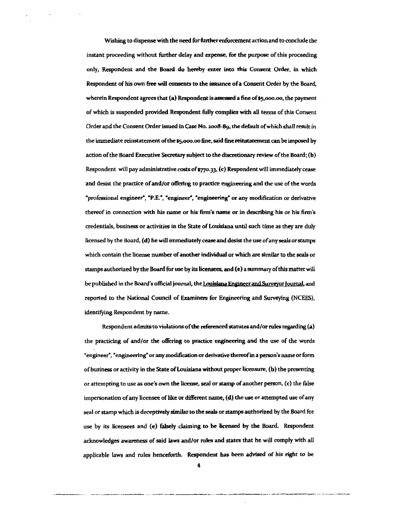Wishing to dispense with the need for further enforcement action and to conclude the instant proceeding without further delay and expense, fur the putpase of this proceeding only, Respondent and the Board do hereby enter into this Consent Order, in which Respondent of his own free will consents to the issuance of a Consent Order by the Board, wherein Respondent agrees that  $(a)$  Respondent is assessed a fine of  $$5,000.00$ , the payment of which is suspended provided Respondent fully complies with all terms of this Consent Order and the Consent Order issued in case No. *:woB-89,* the default of which shall result in the inunediate reinstatement of the 55,ooo.oo fine, said fine reinstatement can be imposed by action of the Board Executive Secretary subject to the discretionary review of the Board; (b) Respondent will pay administrative costs of \$770.33, (c) Respondent will immediately cease and desist the practice of and/or offering to practice engineering and the use of the words **«professional engineer"', •p.E:, •engineer-', ·engineering• or any modification or derivative thereof in connection with his name or his finn's name or in describing his or his finn's credentials, business or activities in the State of Louisiana until such time as they are duly**  licensed by the Board, (d) he will immediately cease and desist the use of any seals or stamps **which contain the license number of another individual or which are similar to the seals or**  stamps authorized by the Board fur use by its licensees, and (e) a summary of this matter will be published in the Board's official journal, the Louisiana Engineer and Surveyor Journal, and reported to the National Council of Examiners fur Engineering and Surveying (NCEES), identifying Respondent by name.

Respondent admits to violations of the referenced statutes and/or rules regarding  $(a)$ the practicing of and/or the offering to practice engineering and the use of the words **"'engineer", "engineering" or any modification or derivative thereof in a person's name or fonn**  of business or activity in the State of Louisiana without proper licensure, (b) the presenting or attempting to use as one's own the license, seal or stamp of another person, (c) the false impersonation of any licensee of like or different name, (d) the use or attempted use of any seal or stamp which is deceptively similar to the seals or stamps authorized by the Board fur use by its licensees and (e) falsely claiming to be licensed by the Board. Respondent acknowledges awareness of said laws and/or rules and states that he will comply with all applicable laws and rules henceforth. Respondent has been advised of his right to be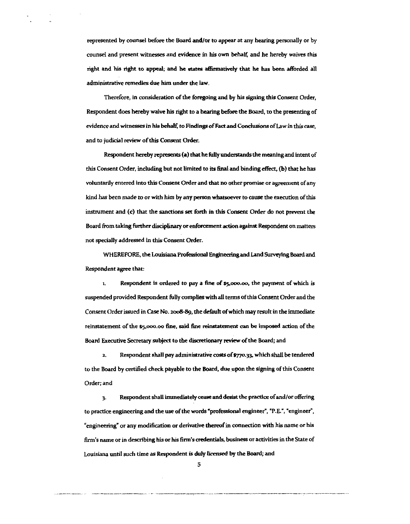represented by counsel before the Board and/or to appear at any hearing personally or by counsel and present witnesses and evidence in his own behalf, and he hereby waives this right and his right to appeal; and he states affirmatively that he has been afforded all administrative remedies due him under the law.

Therefore, in consideration of the foregoing and by his signing this Consent Order, Respondent does hereby waive his right to a hearing before the Board, to the presenting of **evidence and witnesses in his behalf, to Findings of Fact and Conclusions of Law in this case,** and to judicial review of this Consent Order.

Respondent hereby represents (a) that he fully understands the meaning and intent of this Consent Order, including but not limited to its final and binding effect, (b) that he has **voluntarily entered into this Consent Order and that no other promise or agreement of any**  kind bas been made to or with him by any person whatsoever to cause the execution of this instrument and (c) that the sanctions set forth in this Consent Order do not prevent the Board from taking further disciplinary or enforcement action against Respondent on matters not specially addressed in this Consent Order.

WHEREFORE, the Louisiana Professional Engineering and Land Surveying Board and Respondent agree that:

1. Respondent is ordered to pay a fine of S5,ooo.oo, the payment of which is suspended provided Respondent fully complies with all terms of this Consent Order and the Consent Order issued in Case No. 2008-89, the default of which may result in the immediate reinstatement of the \$5,000.00 fine, said fine reinstatement can be imposed action of the Board Executive Secretary subject to the discretionary review of the Board; and

2. Respondent shall pay administrative costs of \$770.33, which shall be tendered to the Board by certified check payable to the Board, due upon the signing of this Consent Order; and

3. Respondent shall immediately cease and desist the practice of and/or offering **to practice engineering and the use of the words •professional engineer", "P .E.", "engineer", ''engineering" or any modification or derivative thereof in connection with his name or his**  firm's name or in describing his or his firm's credentials, business or activities in the State of Louisiana until such time as Respondent is duly licensed by the Board; and